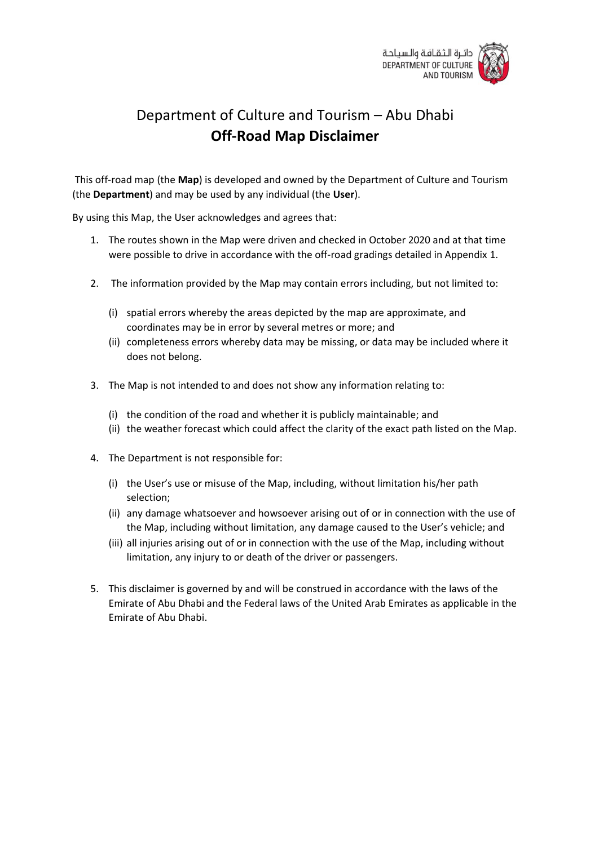

# Department of Culture and Tourism – Abu Dhabi **Off-Road Map Disclaimer**

This off-road map (the **Map**) is developed and owned by the Department of Culture and Tourism (the **Department**) and may be used by any individual (the **User**).

By using this Map, the User acknowledges and agrees that:

- 1. The routes shown in the Map were driven and checked in October 2020 and at that time were possible to drive in accordance with the off-road gradings detailed in Appendix 1.
- 2. The information provided by the Map may contain errors including, but not limited to:
	- (i) spatial errors whereby the areas depicted by the map are approximate, and coordinates may be in error by several metres or more; and
	- (ii) completeness errors whereby data may be missing, or data may be included where it does not belong.
- 3. The Map is not intended to and does not show any information relating to:
	- (i) the condition of the road and whether it is publicly maintainable; and
	- (ii) the weather forecast which could affect the clarity of the exact path listed on the Map.
- 4. The Department is not responsible for:
	- (i) the User's use or misuse of the Map, including, without limitation his/her path selection;
	- (ii) any damage whatsoever and howsoever arising out of or in connection with the use of the Map, including without limitation, any damage caused to the User's vehicle; and
	- (iii) all injuries arising out of or in connection with the use of the Map, including without limitation, any injury to or death of the driver or passengers.
- 5. This disclaimer is governed by and will be construed in accordance with the laws of the Emirate of Abu Dhabi and the Federal laws of the United Arab Emirates as applicable in the Emirate of Abu Dhabi.